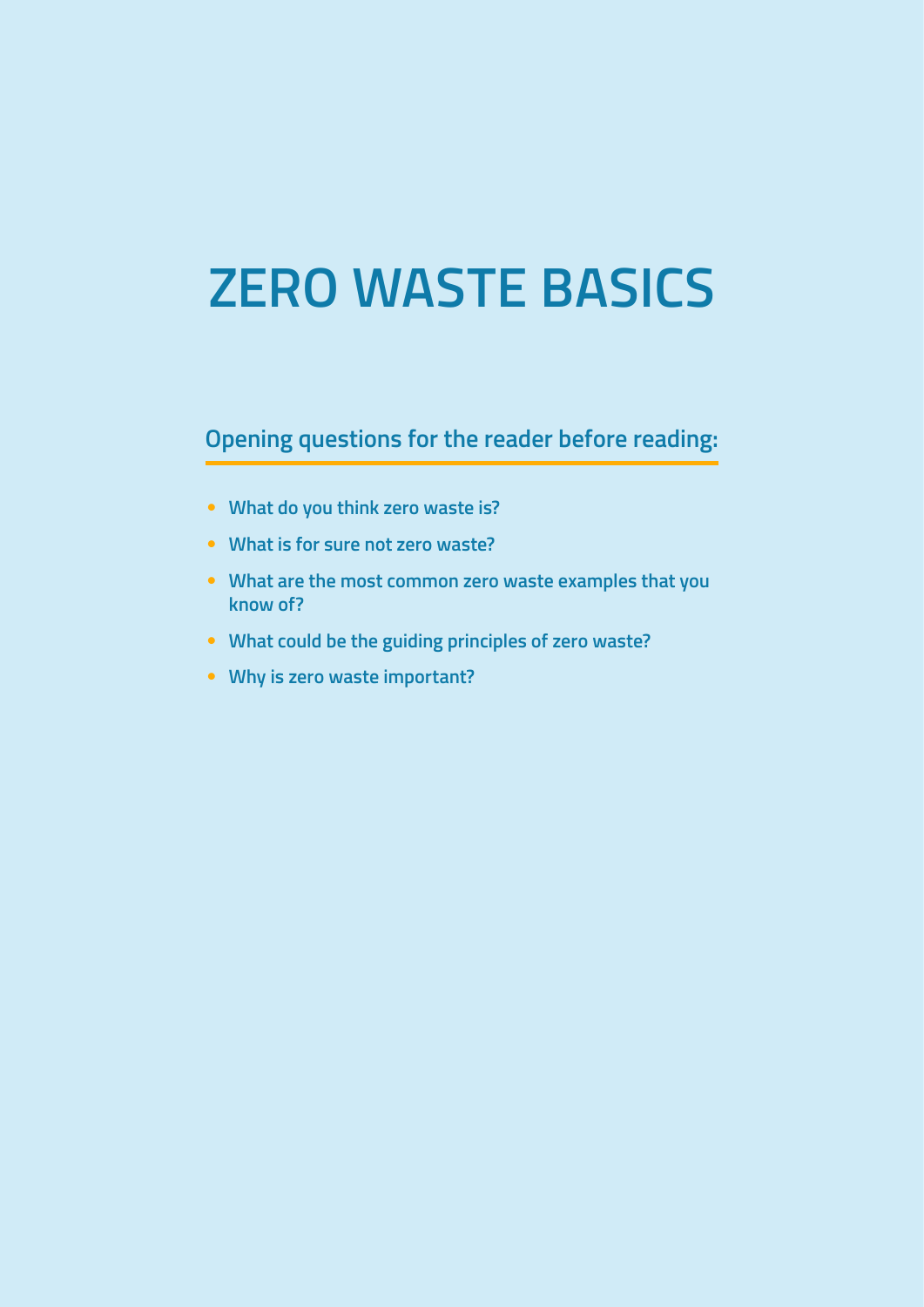# **ZERO WASTE BASICS**

**Opening questions for the reader before reading:**

- **What do you think zero waste is?**
- **What is for sure not zero waste?**
- **What are the most common zero waste examples that you know of?**
- **What could be the guiding principles of zero waste?**
- **Why is zero waste important?**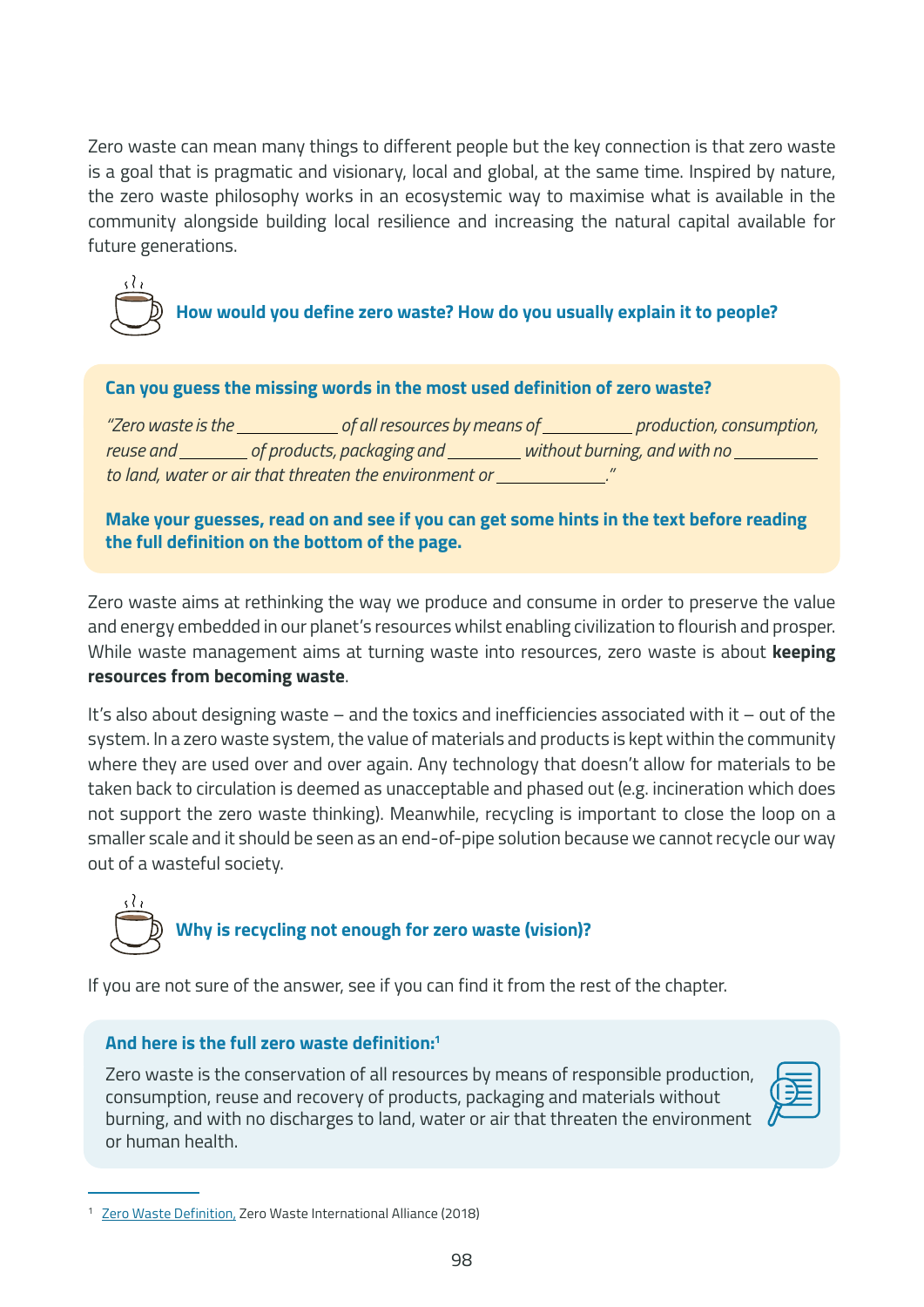Zero waste can mean many things to different people but the key connection is that zero waste is a goal that is pragmatic and visionary, local and global, at the same time. Inspired by nature, the zero waste philosophy works in an ecosystemic way to maximise what is available in the community alongside building local resilience and increasing the natural capital available for future generations.



### **How would you define zero waste? How do you usually explain it to people?**

#### **Can you guess the missing words in the most used definition of zero waste?**

*"Zero waste is the of all resources by means of production, consumption, reuse and* \_\_\_\_\_\_\_\_\_ of products, packaging and \_\_\_\_\_\_\_\_\_ without burning, and with no \_\_\_\_\_\_\_\_\_\_ *to land, water or air that threaten the environment or ."*

**Make your guesses, read on and see if you can get some hints in the text before reading the full definition on the bottom of the page.** 

Zero waste aims at rethinking the way we produce and consume in order to preserve the value and energy embedded in our planet's resources whilst enabling civilization to flourish and prosper. While waste management aims at turning waste into resources, zero waste is about **keeping resources from becoming waste**.

It's also about designing waste – and the toxics and inefficiencies associated with it – out of the system. In a zero waste system, the value of materials and products is kept within the community where they are used over and over again. Any technology that doesn't allow for materials to be taken back to circulation is deemed as unacceptable and phased out (e.g. incineration which does not support the zero waste thinking). Meanwhile, recycling is important to close the loop on a smaller scale and it should be seen as an end-of-pipe solution because we cannot recycle our way out of a wasteful society.



If you are not sure of the answer, see if you can find it from the rest of the chapter.

### **And here is the full zero waste definition:1**

Zero waste is the conservation of all resources by means of responsible production, consumption, reuse and recovery of products, packaging and materials without burning, and with no discharges to land, water or air that threaten the environment or human health.



<sup>1</sup> [Zero Waste Definition](https://zwia.org/zero-waste-definition/), Zero Waste International Alliance (2018)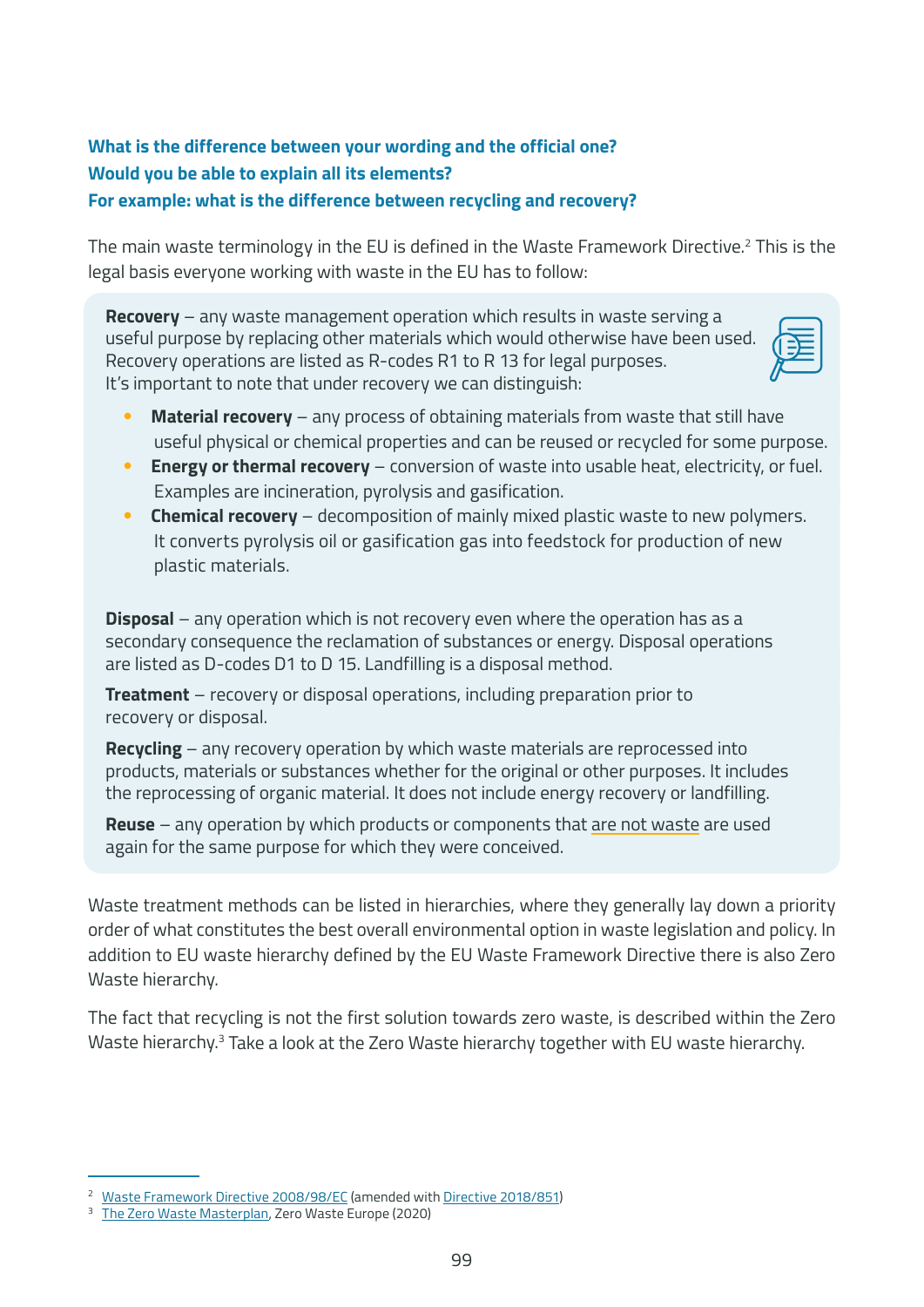### **What is the difference between your wording and the official one? Would you be able to explain all its elements? For example: what is the difference between recycling and recovery?**

The main waste terminology in the EU is defined in the Waste Framework Directive.<sup>2</sup> This is the legal basis everyone working with waste in the EU has to follow:

**Recovery** – any waste management operation which results in waste serving a useful purpose by replacing other materials which would otherwise have been used. Recovery operations are listed as R-codes R1 to R 13 for legal purposes. It's important to note that under recovery we can distinguish:



- **Material recovery** any process of obtaining materials from waste that still have useful physical or chemical properties and can be reused or recycled for some purpose.
- **Energy or thermal recovery** conversion of waste into usable heat, electricity, or fuel. Examples are incineration, pyrolysis and gasification.
- **Chemical recovery** decomposition of mainly mixed plastic waste to new polymers. It converts pyrolysis oil or gasification gas into feedstock for production of new plastic materials.

**Disposal** – any operation which is not recovery even where the operation has as a secondary consequence the reclamation of substances or energy. Disposal operations are listed as D-codes D1 to D 15. Landfilling is a disposal method.

**Treatment** – recovery or disposal operations, including preparation prior to recovery or disposal.

**Recycling** – any recovery operation by which waste materials are reprocessed into products, materials or substances whether for the original or other purposes. It includes the reprocessing of organic material. It does not include energy recovery or landfilling.

**Reuse** – any operation by which products or components that are not waste are used again for the same purpose for which they were conceived.

Waste treatment methods can be listed in hierarchies, where they generally lay down a priority order of what constitutes the best overall environmental option in waste legislation and policy. In addition to EU waste hierarchy defined by the EU Waste Framework Directive there is also Zero Waste hierarchy.

The fact that recycling is not the first solution towards zero waste, is described within the Zero Waste hierarchy.<sup>3</sup> Take a look at the Zero Waste hierarchy together with EU waste hierarchy.

<sup>&</sup>lt;sup>2</sup> [Waste Framework Directive 2008/98/EC](https://eur-lex.europa.eu/legal-content/EN/TXT/?uri=celex%3A32008L0098) (amended with [Directive 2018/851](https://eur-lex.europa.eu/legal-content/EN/TXT/?uri=celex%3A32018L0851))

[The Zero Waste Masterplan](https://zerowastecities.eu/learn/#the_masterplan), Zero Waste Europe (2020)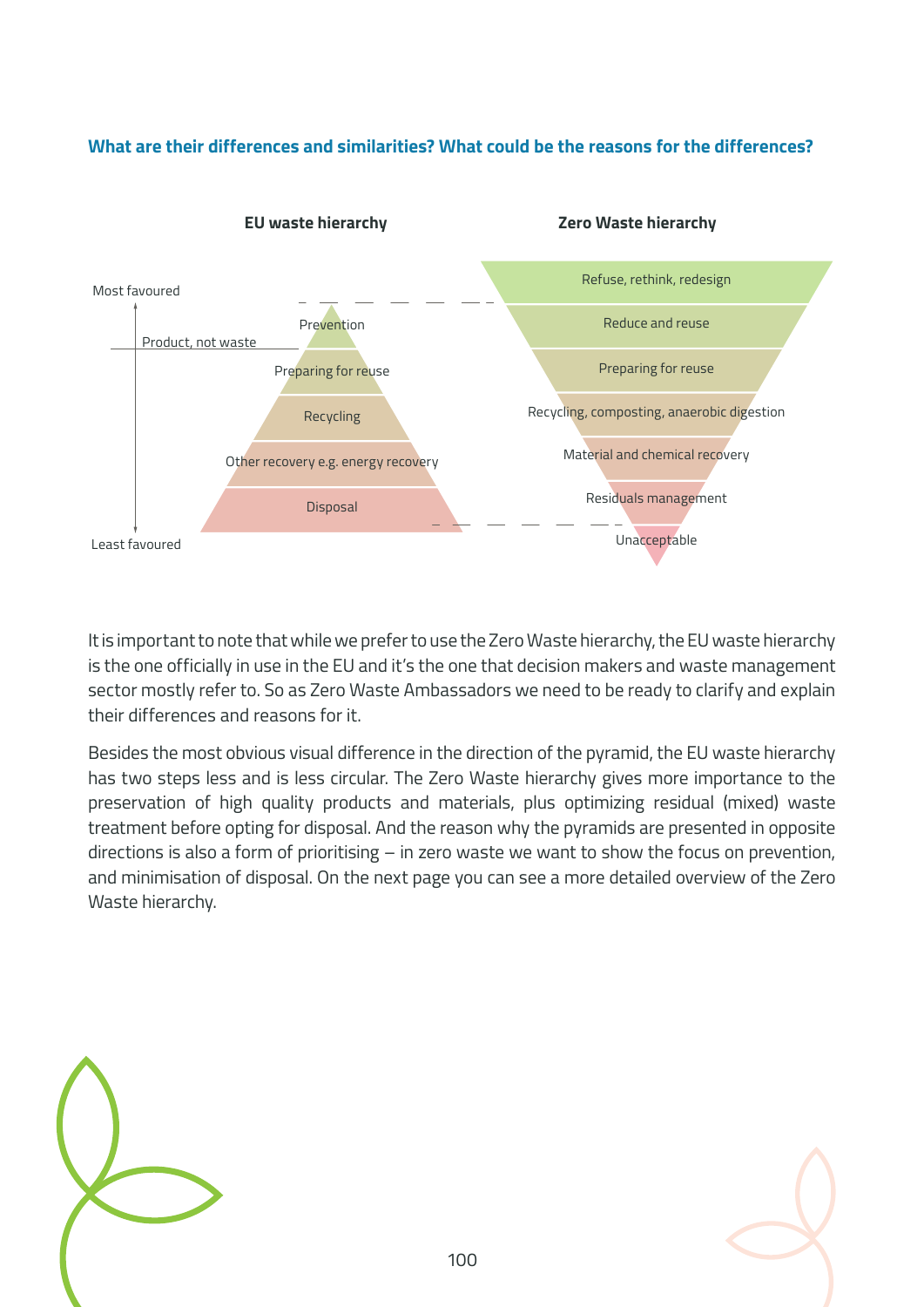### **What are their differences and similarities? What could be the reasons for the differences?**



It is important to note that while we prefer to use the Zero Waste hierarchy, the EU waste hierarchy is the one officially in use in the EU and it's the one that decision makers and waste management sector mostly refer to. So as Zero Waste Ambassadors we need to be ready to clarify and explain their differences and reasons for it.

Besides the most obvious visual difference in the direction of the pyramid, the EU waste hierarchy has two steps less and is less circular. The Zero Waste hierarchy gives more importance to the preservation of high quality products and materials, plus optimizing residual (mixed) waste treatment before opting for disposal. And the reason why the pyramids are presented in opposite directions is also a form of prioritising – in zero waste we want to show the focus on prevention, and minimisation of disposal. On the next page you can see a more detailed overview of the Zero Waste hierarchy.



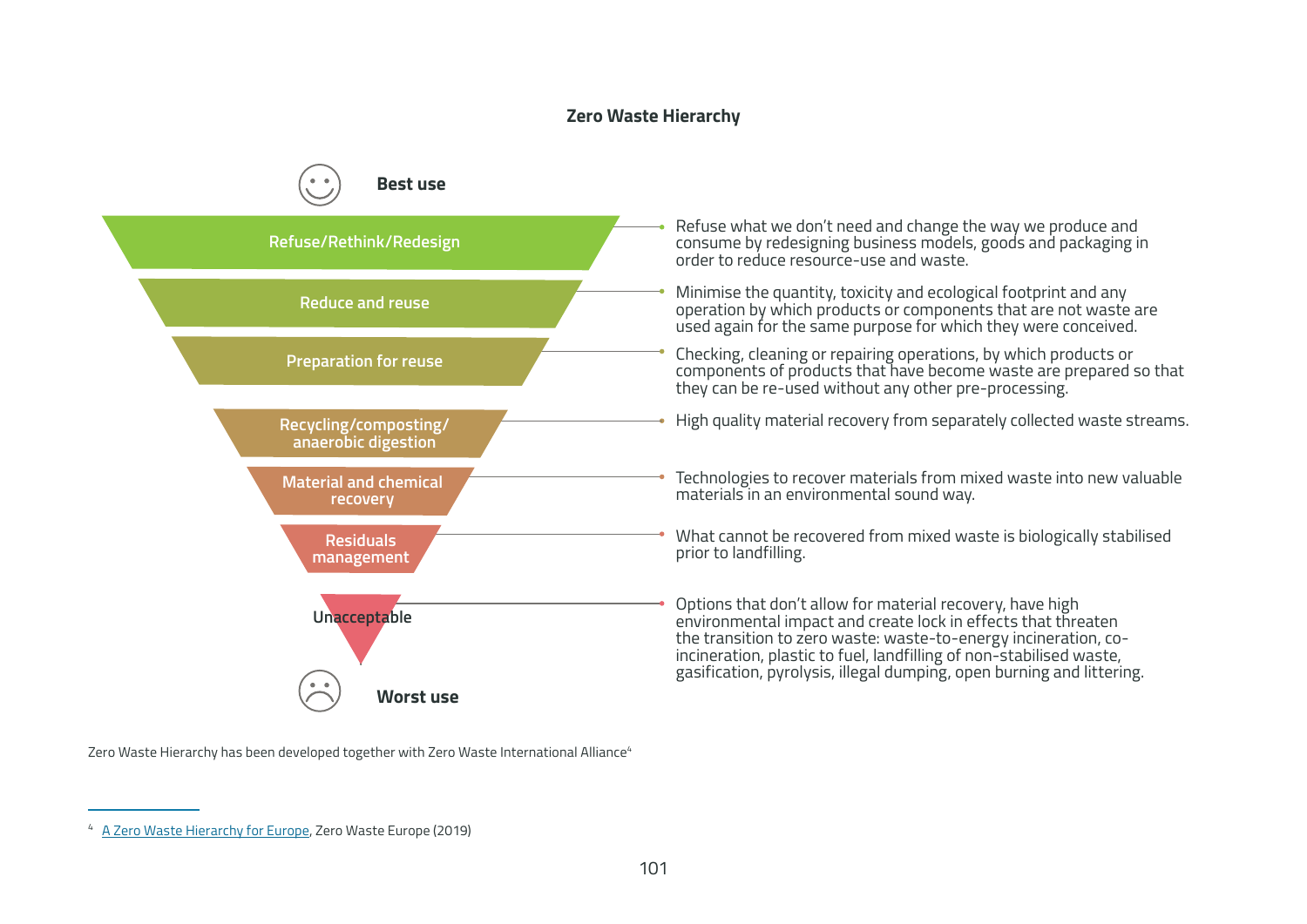#### **Zero Waste Hierarchy**



Zero Waste Hierarchy has been developed together with Zero Waste International Alliance<sup>4</sup>

<sup>4</sup> [A Zero Waste Hierarchy for Europe](https://zerowasteeurope.eu/2019/05/a-zero-waste-hierarchy-for-europe/), Zero Waste Europe (2019)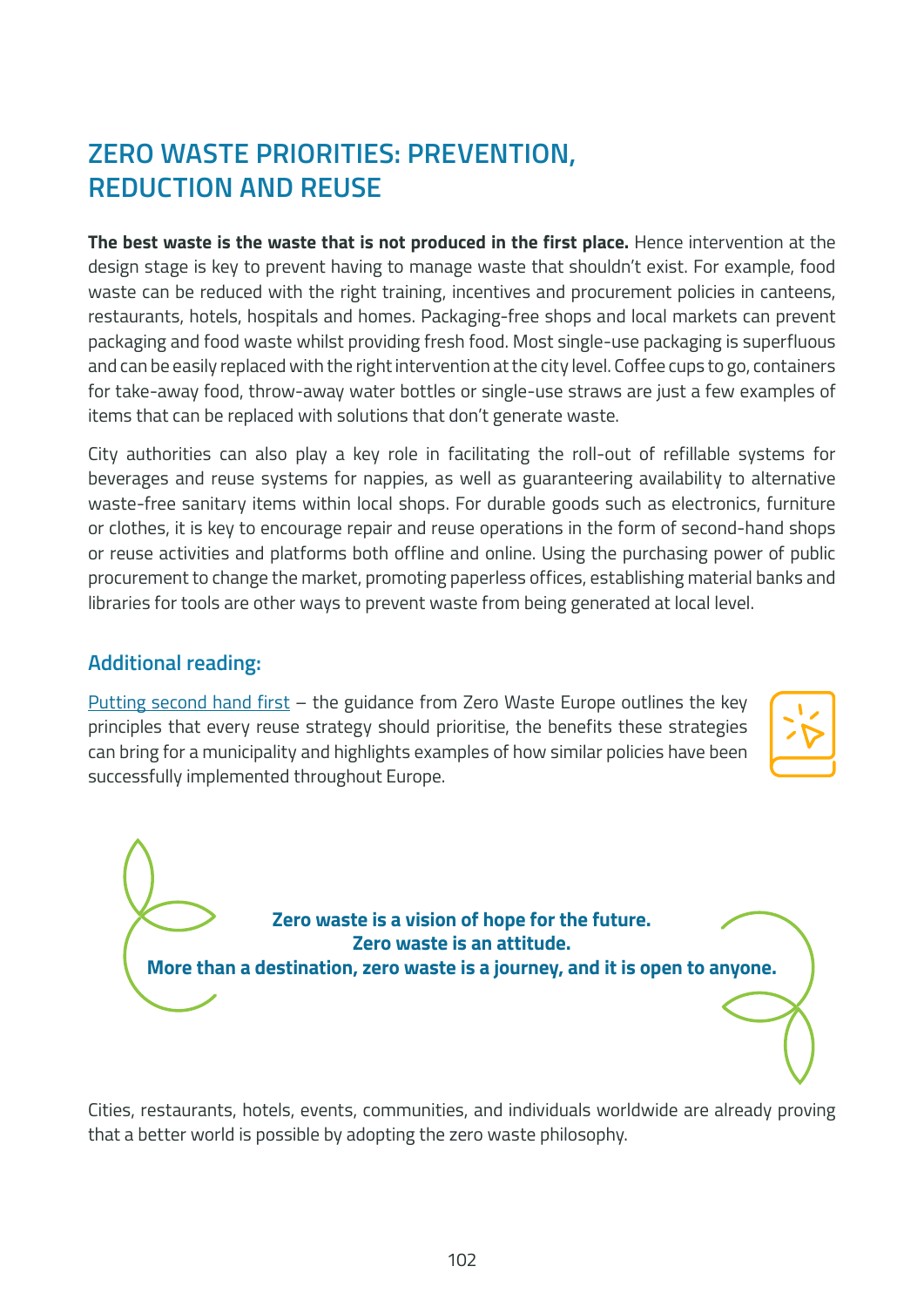## **ZERO WASTE PRIORITIES: PREVENTION, REDUCTION AND REUSE**

**The best waste is the waste that is not produced in the first place.** Hence intervention at the design stage is key to prevent having to manage waste that shouldn't exist. For example, food waste can be reduced with the right training, incentives and procurement policies in canteens, restaurants, hotels, hospitals and homes. Packaging-free shops and local markets can prevent packaging and food waste whilst providing fresh food. Most single-use packaging is superfluous and can be easily replaced with the right intervention at the city level. Coffee cups to go, containers for take-away food, throw-away water bottles or single-use straws are just a few examples of items that can be replaced with solutions that don't generate waste.

City authorities can also play a key role in facilitating the roll-out of refillable systems for beverages and reuse systems for nappies, as well as guaranteering availability to alternative waste-free sanitary items within local shops. For durable goods such as electronics, furniture or clothes, it is key to encourage repair and reuse operations in the form of second-hand shops or reuse activities and platforms both offline and online. Using the purchasing power of public procurement to change the market, promoting paperless offices, establishing material banks and libraries for tools are other ways to prevent waste from being generated at local level.

### **Additional reading:**

[Putting second hand first](https://zerowastecities.eu/tools/putting-second-hand-first/) – the guidance from Zero Waste Europe outlines the key principles that every reuse strategy should prioritise, the benefits these strategies can bring for a municipality and highlights examples of how similar policies have been successfully implemented throughout Europe.



**Zero waste is a vision of hope for the future. Zero waste is an attitude. More than a destination, zero waste is a journey, and it is open to anyone.**

Cities, restaurants, hotels, events, communities, and individuals worldwide are already proving that a better world is possible by adopting the zero waste philosophy.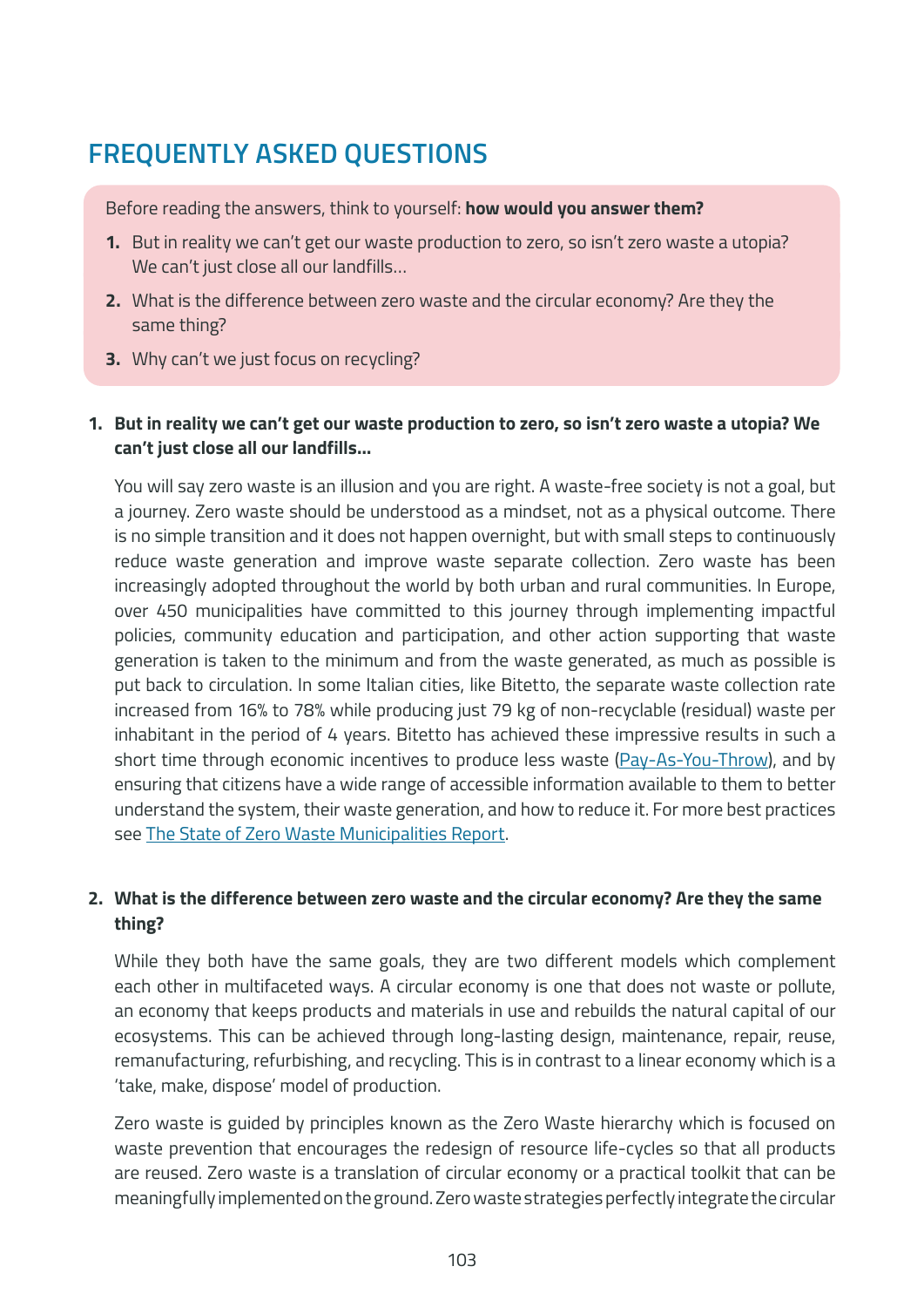# **FREQUENTLY ASKED QUESTIONS**

Before reading the answers, think to yourself: **how would you answer them?**

- **1.** But in reality we can't get our waste production to zero, so isn't zero waste a utopia? We can't just close all our landfills…
- **2.** What is the difference between zero waste and the circular economy? Are they the same thing?
- **3.** Why can't we just focus on recycling?
- **1. But in reality we can't get our waste production to zero, so isn't zero waste a utopia? We can't just close all our landfills…**

You will say zero waste is an illusion and you are right. A waste-free society is not a goal, but a journey. Zero waste should be understood as a mindset, not as a physical outcome. There is no simple transition and it does not happen overnight, but with small steps to continuously reduce waste generation and improve waste separate collection. Zero waste has been increasingly adopted throughout the world by both urban and rural communities. In Europe, over 450 municipalities have committed to this journey through implementing impactful policies, community education and participation, and other action supporting that waste generation is taken to the minimum and from the waste generated, as much as possible is put back to circulation. In some Italian cities, like Bitetto, the separate waste collection rate increased from 16% to 78% while producing just 79 kg of non-recyclable (residual) waste per inhabitant in the period of 4 years. Bitetto has achieved these impressive results in such a short time through economic incentives to produce less waste [\(Pay-As-You-Throw](https://greenbestpractice.jrc.ec.europa.eu/node/7)), and by ensuring that citizens have a wide range of accessible information available to them to better understand the system, their waste generation, and how to reduce it. For more best practices see [The State of Zero Waste Municipalities Report.](https://zerowastecities.eu/learn/reports)

### **2. What is the difference between zero waste and the circular economy? Are they the same thing?**

While they both have the same goals, they are two different models which complement each other in multifaceted ways. A circular economy is one that does not waste or pollute, an economy that keeps products and materials in use and rebuilds the natural capital of our ecosystems. This can be achieved through long-lasting design, maintenance, repair, reuse, remanufacturing, refurbishing, and recycling. This is in contrast to a linear economy which is a 'take, make, dispose' model of production.

Zero waste is guided by principles known as the Zero Waste hierarchy which is focused on waste prevention that encourages the redesign of resource life-cycles so that all products are reused. Zero waste is a translation of circular economy or a practical toolkit that can be meaningfully implemented on the ground. Zero waste strategies perfectly integrate the circular